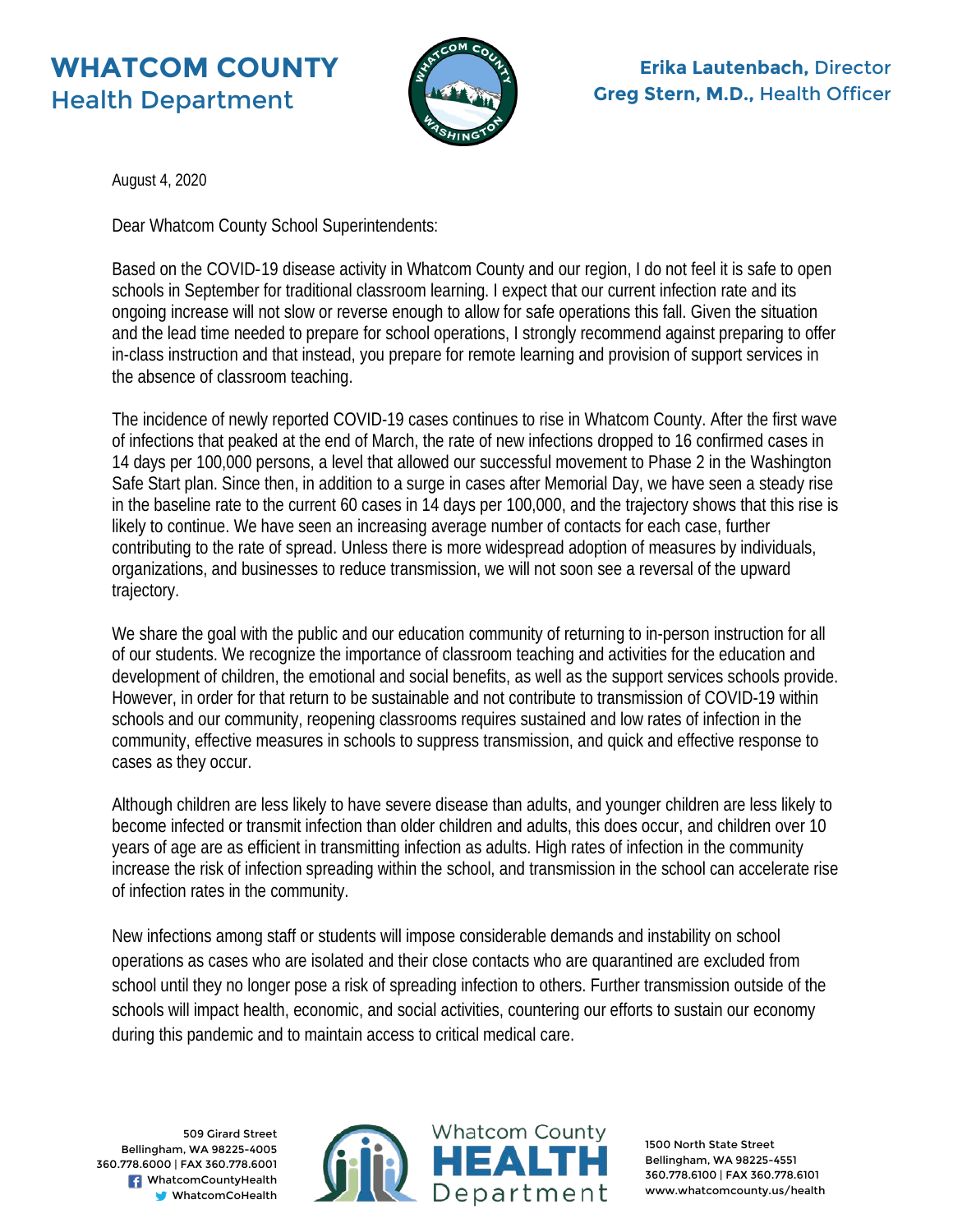## **WHATCOM COUNTY** Health Department



**Erika Lautenbach,** Director **Greg Stern, M.D.,** Health Officer

August 4, 2020

Dear Whatcom County School Superintendents:

Based on the COVID-19 disease activity in Whatcom County and our region, I do not feel it is safe to open schools in September for traditional classroom learning. I expect that our current infection rate and its ongoing increase will not slow or reverse enough to allow for safe operations this fall. Given the situation and the lead time needed to prepare for school operations, I strongly recommend against preparing to offer in-class instruction and that instead, you prepare for remote learning and provision of support services in the absence of classroom teaching.

The incidence of newly reported COVID-19 cases continues to rise in Whatcom County. After the first wave of infections that peaked at the end of March, the rate of new infections dropped to 16 confirmed cases in 14 days per 100,000 persons, a level that allowed our successful movement to Phase 2 in the Washington Safe Start plan. Since then, in addition to a surge in cases after Memorial Day, we have seen a steady rise in the baseline rate to the current 60 cases in 14 days per 100,000, and the trajectory shows that this rise is likely to continue. We have seen an increasing average number of contacts for each case, further contributing to the rate of spread. Unless there is more widespread adoption of measures by individuals, organizations, and businesses to reduce transmission, we will not soon see a reversal of the upward trajectory.

We share the goal with the public and our education community of returning to in-person instruction for all of our students. We recognize the importance of classroom teaching and activities for the education and development of children, the emotional and social benefits, as well as the support services schools provide. However, in order for that return to be sustainable and not contribute to transmission of COVID-19 within schools and our community, reopening classrooms requires sustained and low rates of infection in the community, effective measures in schools to suppress transmission, and quick and effective response to cases as they occur.

Although children are less likely to have severe disease than adults, and younger children are less likely to become infected or transmit infection than older children and adults, this does occur, and children over 10 years of age are as efficient in transmitting infection as adults. High rates of infection in the community increase the risk of infection spreading within the school, and transmission in the school can accelerate rise of infection rates in the community.

New infections among staff or students will impose considerable demands and instability on school operations as cases who are isolated and their close contacts who are quarantined are excluded from school until they no longer pose a risk of spreading infection to others. Further transmission outside of the schools will impact health, economic, and social activities, countering our efforts to sustain our economy during this pandemic and to maintain access to critical medical care.

509 Girard Street Bellingham, WA 98225-4005 360.778.6000 | FAX 360.778.6001 **R** WhatcomCountyHealth WhatcomCoHealth



1500 North State Street Bellingham, WA 98225-4551 360.778.6100 | FAX 360.778.6101 www.whatcomcounty.us/health